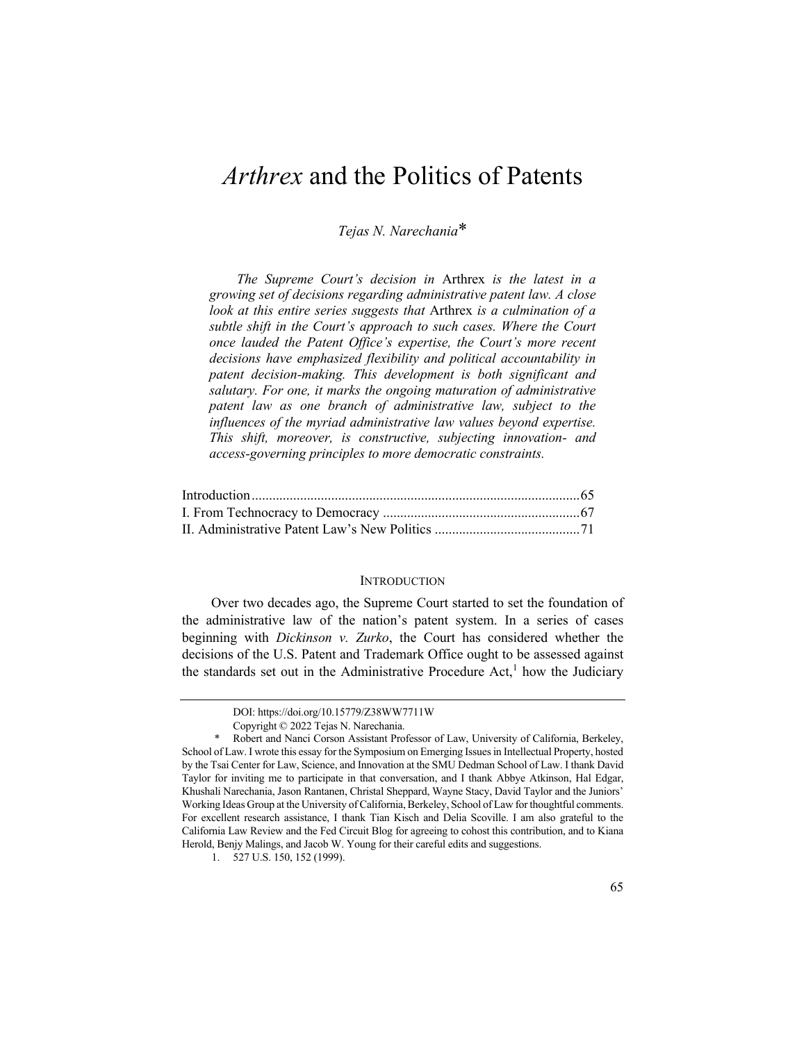# *Arthrex* and the Politics of Patents

*Tejas N. Narechania*\*

*The Supreme Court's decision in* Arthrex *is the latest in a growing set of decisions regarding administrative patent law. A close look at this entire series suggests that* Arthrex *is a culmination of a subtle shift in the Court's approach to such cases. Where the Court once lauded the Patent Office's expertise, the Court's more recent decisions have emphasized flexibility and political accountability in patent decision-making. This development is both significant and salutary. For one, it marks the ongoing maturation of administrative patent law as one branch of administrative law, subject to the influences of the myriad administrative law values beyond expertise. This shift, moreover, is constructive, subjecting innovation- and access-governing principles to more democratic constraints.*

# **INTRODUCTION**

Over two decades ago, the Supreme Court started to set the foundation of the administrative law of the nation's patent system. In a series of cases beginning with *Dickinson v. Zurko*, the Court has considered whether the decisions of the U.S. Patent and Trademark Office ought to be assessed against the standards set out in the Administrative Procedure Act,<sup>1</sup> how the Judiciary

DOI: https://doi.org/10.15779/Z38WW7711W

Copyright © 2022 Tejas N. Narechania.

<sup>\*</sup> Robert and Nanci Corson Assistant Professor of Law, University of California, Berkeley, School of Law. I wrote this essay for the Symposium on Emerging Issues in Intellectual Property, hosted by the Tsai Center for Law, Science, and Innovation at the SMU Dedman School of Law. I thank David Taylor for inviting me to participate in that conversation, and I thank Abbye Atkinson, Hal Edgar, Khushali Narechania, Jason Rantanen, Christal Sheppard, Wayne Stacy, David Taylor and the Juniors' Working Ideas Group at the University of California, Berkeley, School of Law for thoughtful comments. For excellent research assistance, I thank Tian Kisch and Delia Scoville. I am also grateful to the California Law Review and the Fed Circuit Blog for agreeing to cohost this contribution, and to Kiana Herold, Benjy Malings, and Jacob W. Young for their careful edits and suggestions.

<sup>1.</sup> 527 U.S. 150, 152 (1999).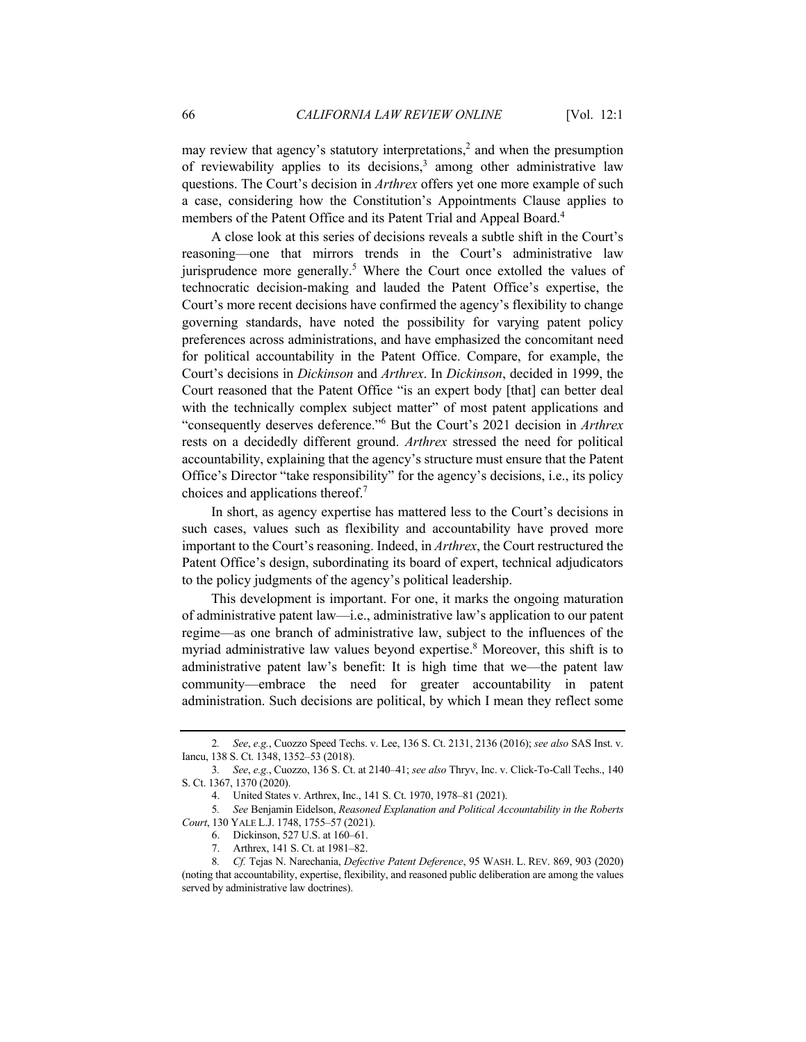may review that agency's statutory interpretations,<sup>2</sup> and when the presumption of reviewability applies to its decisions, $3$  among other administrative law questions. The Court's decision in *Arthrex* offers yet one more example of such a case, considering how the Constitution's Appointments Clause applies to members of the Patent Office and its Patent Trial and Appeal Board.<sup>4</sup>

A close look at this series of decisions reveals a subtle shift in the Court's reasoning—one that mirrors trends in the Court's administrative law jurisprudence more generally.<sup>5</sup> Where the Court once extolled the values of technocratic decision-making and lauded the Patent Office's expertise, the Court's more recent decisions have confirmed the agency's flexibility to change governing standards, have noted the possibility for varying patent policy preferences across administrations, and have emphasized the concomitant need for political accountability in the Patent Office. Compare, for example, the Court's decisions in *Dickinson* and *Arthrex*. In *Dickinson*, decided in 1999, the Court reasoned that the Patent Office "is an expert body [that] can better deal with the technically complex subject matter" of most patent applications and "consequently deserves deference."<sup>6</sup> But the Court's 2021 decision in *Arthrex* rests on a decidedly different ground. *Arthrex* stressed the need for political accountability, explaining that the agency's structure must ensure that the Patent Office's Director "take responsibility" for the agency's decisions, i.e., its policy choices and applications thereof.7

In short, as agency expertise has mattered less to the Court's decisions in such cases, values such as flexibility and accountability have proved more important to the Court's reasoning. Indeed, in *Arthrex*, the Court restructured the Patent Office's design, subordinating its board of expert, technical adjudicators to the policy judgments of the agency's political leadership.

This development is important. For one, it marks the ongoing maturation of administrative patent law—i.e., administrative law's application to our patent regime—as one branch of administrative law, subject to the influences of the myriad administrative law values beyond expertise.<sup>8</sup> Moreover, this shift is to administrative patent law's benefit: It is high time that we—the patent law community—embrace the need for greater accountability in patent administration. Such decisions are political, by which I mean they reflect some

<sup>2</sup>*. See*, *e.g.*, Cuozzo Speed Techs. v. Lee, 136 S. Ct. 2131, 2136 (2016); *see also* SAS Inst. v. Iancu, 138 S. Ct. 1348, 1352–53 (2018).

<sup>3</sup>*. See*, *e.g.*, Cuozzo, 136 S. Ct. at 2140–41; *see also* Thryv, Inc. v. Click-To-Call Techs., 140 S. Ct. 1367, 1370 (2020).

<sup>4.</sup> United States v. Arthrex, Inc., 141 S. Ct. 1970, 1978–81 (2021).

<sup>5</sup>*. See* Benjamin Eidelson, *Reasoned Explanation and Political Accountability in the Roberts Court*, 130 YALE L.J. 1748, 1755–57 (2021).

<sup>6.</sup> Dickinson, 527 U.S. at 160–61.

<sup>7.</sup> Arthrex, 141 S. Ct. at 1981–82.

<sup>8</sup>*. Cf.* Tejas N. Narechania, *Defective Patent Deference*, 95 WASH. L. REV. 869, 903 (2020) (noting that accountability, expertise, flexibility, and reasoned public deliberation are among the values served by administrative law doctrines).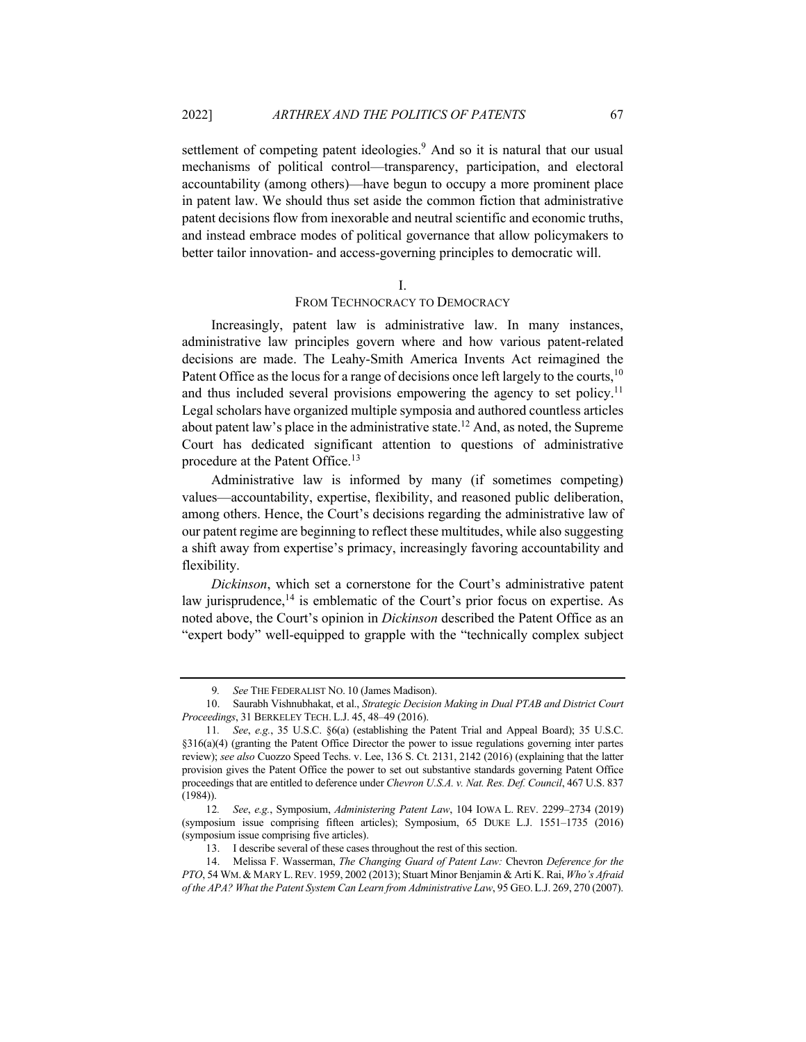settlement of competing patent ideologies.<sup>9</sup> And so it is natural that our usual mechanisms of political control—transparency, participation, and electoral accountability (among others)—have begun to occupy a more prominent place in patent law. We should thus set aside the common fiction that administrative patent decisions flow from inexorable and neutral scientific and economic truths, and instead embrace modes of political governance that allow policymakers to better tailor innovation- and access-governing principles to democratic will.

### I.

## FROM TECHNOCRACY TO DEMOCRACY

Increasingly, patent law is administrative law. In many instances, administrative law principles govern where and how various patent-related decisions are made. The Leahy-Smith America Invents Act reimagined the Patent Office as the locus for a range of decisions once left largely to the courts,  $10$ and thus included several provisions empowering the agency to set policy.<sup>11</sup> Legal scholars have organized multiple symposia and authored countless articles about patent law's place in the administrative state.<sup>12</sup> And, as noted, the Supreme Court has dedicated significant attention to questions of administrative procedure at the Patent Office.<sup>13</sup>

Administrative law is informed by many (if sometimes competing) values—accountability, expertise, flexibility, and reasoned public deliberation, among others. Hence, the Court's decisions regarding the administrative law of our patent regime are beginning to reflect these multitudes, while also suggesting a shift away from expertise's primacy, increasingly favoring accountability and flexibility.

*Dickinson*, which set a cornerstone for the Court's administrative patent law jurisprudence, $14$  is emblematic of the Court's prior focus on expertise. As noted above, the Court's opinion in *Dickinson* described the Patent Office as an "expert body" well-equipped to grapple with the "technically complex subject

See THE FEDERALIST NO. 10 (James Madison).

<sup>10.</sup> Saurabh Vishnubhakat, et al., *Strategic Decision Making in Dual PTAB and District Court Proceedings*, 31 BERKELEY TECH. L.J. 45, 48–49 (2016).

<sup>11</sup>*. See*, *e.g.*, 35 U.S.C. §6(a) (establishing the Patent Trial and Appeal Board); 35 U.S.C. §316(a)(4) (granting the Patent Office Director the power to issue regulations governing inter partes review); *see also* Cuozzo Speed Techs. v. Lee, 136 S. Ct. 2131, 2142 (2016) (explaining that the latter provision gives the Patent Office the power to set out substantive standards governing Patent Office proceedings that are entitled to deference under *Chevron U.S.A. v. Nat. Res. Def. Council*, 467 U.S. 837 (1984)).

<sup>12</sup>*. See*, *e.g.*, Symposium, *Administering Patent Law*, 104 IOWA L. REV. 2299–2734 (2019) (symposium issue comprising fifteen articles); Symposium, 65 DUKE L.J. 1551–1735 (2016) (symposium issue comprising five articles).

<sup>13.</sup> I describe several of these cases throughout the rest of this section.

<sup>14.</sup> Melissa F. Wasserman, *The Changing Guard of Patent Law:* Chevron *Deference for the PTO*, 54 WM.& MARY L.REV. 1959, 2002 (2013); Stuart Minor Benjamin & Arti K. Rai, *Who's Afraid of the APA? What the Patent System Can Learn from Administrative Law*, 95 GEO.L.J. 269, 270 (2007).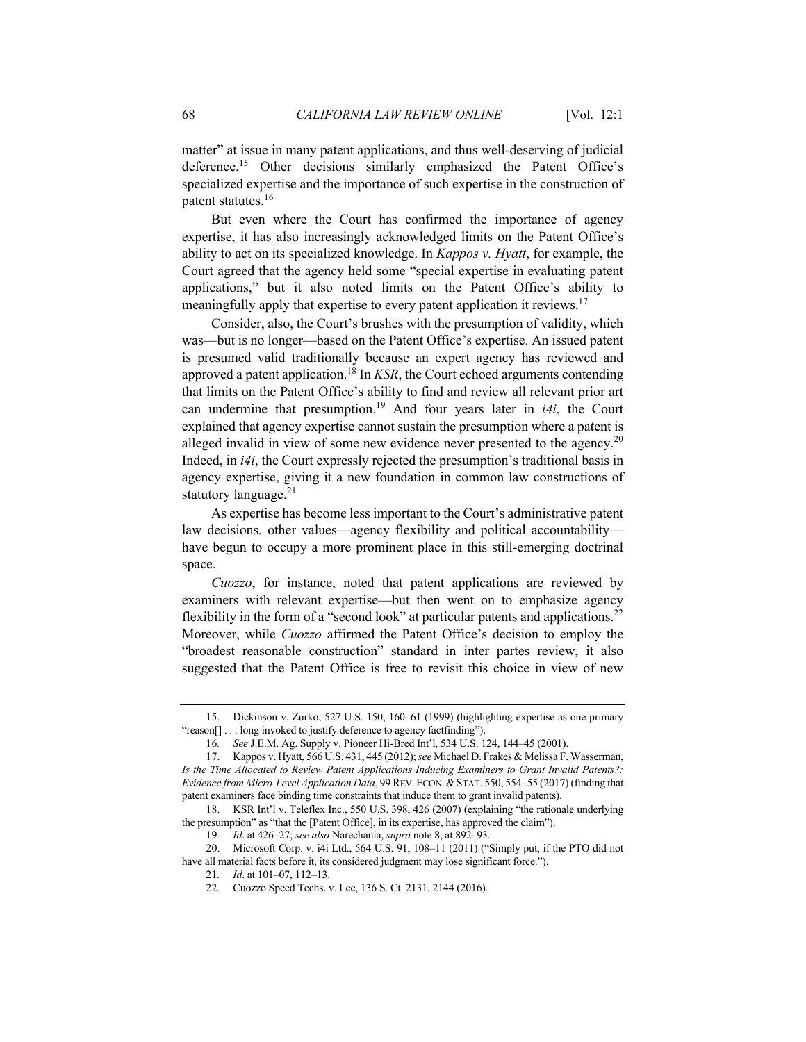matter" at issue in many patent applications, and thus well-deserving of judicial deference.<sup>15</sup> Other decisions similarly emphasized the Patent Office's specialized expertise and the importance of such expertise in the construction of patent statutes.16

But even where the Court has confirmed the importance of agency expertise, it has also increasingly acknowledged limits on the Patent Office's ability to act on its specialized knowledge. In *Kappos v. Hyatt*, for example, the Court agreed that the agency held some "special expertise in evaluating patent applications," but it also noted limits on the Patent Office's ability to meaningfully apply that expertise to every patent application it reviews.<sup>17</sup>

Consider, also, the Court's brushes with the presumption of validity, which was—but is no longer—based on the Patent Office's expertise. An issued patent is presumed valid traditionally because an expert agency has reviewed and approved a patent application.<sup>18</sup> In *KSR*, the Court echoed arguments contending that limits on the Patent Office's ability to find and review all relevant prior art can undermine that presumption.<sup>19</sup> And four years later in *i4i*, the Court explained that agency expertise cannot sustain the presumption where a patent is alleged invalid in view of some new evidence never presented to the agency.<sup>20</sup> Indeed, in *i4i*, the Court expressly rejected the presumption's traditional basis in agency expertise, giving it a new foundation in common law constructions of statutory language. $21$ 

As expertise has become less important to the Court's administrative patent law decisions, other values—agency flexibility and political accountability have begun to occupy a more prominent place in this still-emerging doctrinal space.

*Cuozzo*, for instance, noted that patent applications are reviewed by examiners with relevant expertise—but then went on to emphasize agency flexibility in the form of a "second look" at particular patents and applications.<sup>22</sup> Moreover, while *Cuozzo* affirmed the Patent Office's decision to employ the "broadest reasonable construction" standard in inter partes review, it also suggested that the Patent Office is free to revisit this choice in view of new

<sup>15.</sup> Dickinson v. Zurko, 527 U.S. 150, 160–61 (1999) (highlighting expertise as one primary "reason[] . . . long invoked to justify deference to agency factfinding").

<sup>16</sup>*. See* J.E.M. Ag. Supply v. Pioneer Hi-Bred Int'l, 534 U.S. 124, 144–45 (2001).

<sup>17.</sup> Kappos v. Hyatt, 566 U.S. 431, 445 (2012); *see* Michael D. Frakes & Melissa F. Wasserman, *Is the Time Allocated to Review Patent Applications Inducing Examiners to Grant Invalid Patents?: Evidence from Micro-Level Application Data*, 99 REV.ECON.&STAT. 550, 554–55 (2017) (finding that patent examiners face binding time constraints that induce them to grant invalid patents).

<sup>18.</sup> KSR Int'l v. Teleflex Inc., 550 U.S. 398, 426 (2007) (explaining "the rationale underlying the presumption" as "that the [Patent Office], in its expertise, has approved the claim").

<sup>19</sup>*. Id*. at 426–27; *see also* Narechania, *supra* note 8, at 892–93.

<sup>20.</sup> Microsoft Corp. v. i4i Ltd., 564 U.S. 91, 108–11 (2011) ("Simply put, if the PTO did not have all material facts before it, its considered judgment may lose significant force.").

<sup>21</sup>*. Id*. at 101–07, 112–13.

<sup>22.</sup> Cuozzo Speed Techs. v. Lee, 136 S. Ct. 2131, 2144 (2016).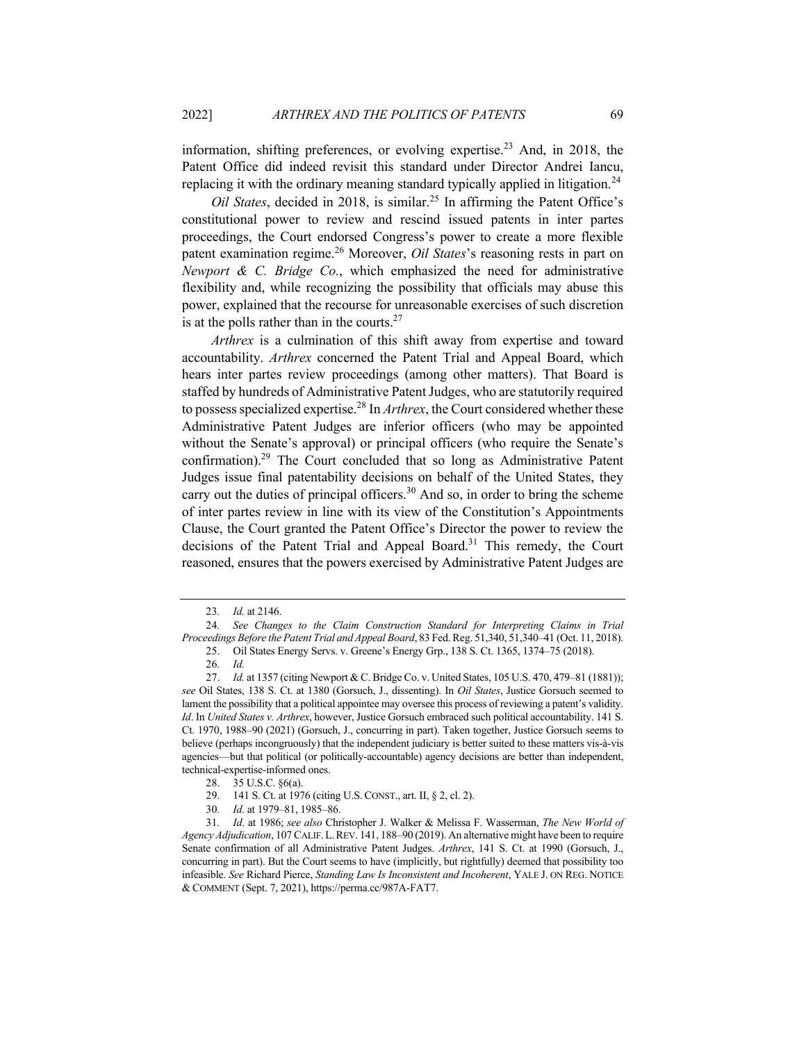information, shifting preferences, or evolving expertise.<sup>23</sup> And, in 2018, the Patent Office did indeed revisit this standard under Director Andrei Iancu, replacing it with the ordinary meaning standard typically applied in litigation.<sup>24</sup>

*Oil States*, decided in 2018, is similar.25 In affirming the Patent Office's constitutional power to review and rescind issued patents in inter partes proceedings, the Court endorsed Congress's power to create a more flexible patent examination regime.<sup>26</sup> Moreover, *Oil States*'s reasoning rests in part on *Newport & C. Bridge Co.*, which emphasized the need for administrative flexibility and, while recognizing the possibility that officials may abuse this power, explained that the recourse for unreasonable exercises of such discretion is at the polls rather than in the courts.<sup>27</sup>

*Arthrex* is a culmination of this shift away from expertise and toward accountability. *Arthrex* concerned the Patent Trial and Appeal Board, which hears inter partes review proceedings (among other matters). That Board is staffed by hundreds of Administrative Patent Judges, who are statutorily required to possess specialized expertise.28 In *Arthrex*, the Court considered whether these Administrative Patent Judges are inferior officers (who may be appointed without the Senate's approval) or principal officers (who require the Senate's confirmation).29 The Court concluded that so long as Administrative Patent Judges issue final patentability decisions on behalf of the United States, they carry out the duties of principal officers.<sup>30</sup> And so, in order to bring the scheme of inter partes review in line with its view of the Constitution's Appointments Clause, the Court granted the Patent Office's Director the power to review the decisions of the Patent Trial and Appeal Board.<sup>31</sup> This remedy, the Court reasoned, ensures that the powers exercised by Administrative Patent Judges are

<sup>23</sup>*. Id.* at 2146.

<sup>24</sup>*. See Changes to the Claim Construction Standard for Interpreting Claims in Trial Proceedings Before the Patent Trial and Appeal Board*, 83 Fed. Reg. 51,340, 51,340–41 (Oct. 11, 2018).

<sup>25.</sup> Oil States Energy Servs. v. Greene's Energy Grp., 138 S. Ct. 1365, 1374–75 (2018).

<sup>26</sup>*. Id.*

<sup>27.</sup> *Id.* at 1357 (citing Newport & C. Bridge Co. v. United States, 105 U.S. 470, 479–81 (1881)); *see* Oil States, 138 S. Ct. at 1380 (Gorsuch, J., dissenting). In *Oil States*, Justice Gorsuch seemed to lament the possibility that a political appointee may oversee this process of reviewing a patent's validity. *Id*. In *United States v. Arthrex*, however, Justice Gorsuch embraced such political accountability. 141 S. Ct. 1970, 1988–90 (2021) (Gorsuch, J., concurring in part). Taken together, Justice Gorsuch seems to believe (perhaps incongruously) that the independent judiciary is better suited to these matters vis-à-vis agencies—but that political (or politically-accountable) agency decisions are better than independent, technical-expertise-informed ones.

<sup>28.</sup> 35 U.S.C. §6(a).

<sup>29.</sup> 141 S. Ct. at 1976 (citing U.S. CONST., art. II, § 2, cl. 2).

<sup>30</sup>*. Id*. at 1979–81, 1985–86.

<sup>31</sup>*. Id*. at 1986; *see also* Christopher J. Walker & Melissa F. Wasserman, *The New World of Agency Adjudication*, 107 CALIF.L.REV. 141, 188–90 (2019). An alternative might have been to require Senate confirmation of all Administrative Patent Judges. *Arthrex*, 141 S. Ct. at 1990 (Gorsuch, J., concurring in part). But the Court seems to have (implicitly, but rightfully) deemed that possibility too infeasible. *See* Richard Pierce, *Standing Law Is Inconsistent and Incoherent*, YALE J. ON REG. NOTICE & COMMENT (Sept. 7, 2021), https://perma.cc/987A-FAT7.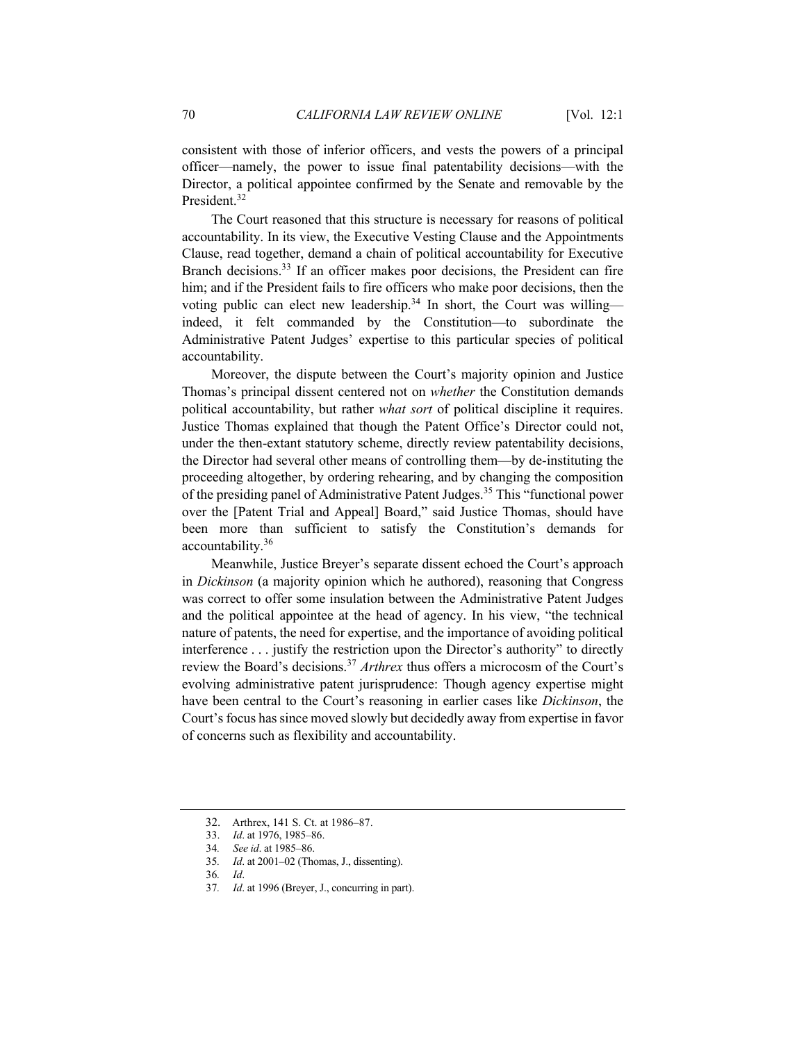consistent with those of inferior officers, and vests the powers of a principal officer—namely, the power to issue final patentability decisions—with the Director, a political appointee confirmed by the Senate and removable by the President.<sup>32</sup>

The Court reasoned that this structure is necessary for reasons of political accountability. In its view, the Executive Vesting Clause and the Appointments Clause, read together, demand a chain of political accountability for Executive Branch decisions.<sup>33</sup> If an officer makes poor decisions, the President can fire him; and if the President fails to fire officers who make poor decisions, then the voting public can elect new leadership.<sup>34</sup> In short, the Court was willing indeed, it felt commanded by the Constitution—to subordinate the Administrative Patent Judges' expertise to this particular species of political accountability.

Moreover, the dispute between the Court's majority opinion and Justice Thomas's principal dissent centered not on *whether* the Constitution demands political accountability, but rather *what sort* of political discipline it requires. Justice Thomas explained that though the Patent Office's Director could not, under the then-extant statutory scheme, directly review patentability decisions, the Director had several other means of controlling them—by de-instituting the proceeding altogether, by ordering rehearing, and by changing the composition of the presiding panel of Administrative Patent Judges.<sup>35</sup> This "functional power over the [Patent Trial and Appeal] Board," said Justice Thomas, should have been more than sufficient to satisfy the Constitution's demands for accountability.<sup>36</sup>

Meanwhile, Justice Breyer's separate dissent echoed the Court's approach in *Dickinson* (a majority opinion which he authored), reasoning that Congress was correct to offer some insulation between the Administrative Patent Judges and the political appointee at the head of agency. In his view, "the technical nature of patents, the need for expertise, and the importance of avoiding political interference . . . justify the restriction upon the Director's authority" to directly review the Board's decisions.<sup>37</sup> *Arthrex* thus offers a microcosm of the Court's evolving administrative patent jurisprudence: Though agency expertise might have been central to the Court's reasoning in earlier cases like *Dickinson*, the Court's focus has since moved slowly but decidedly away from expertise in favor of concerns such as flexibility and accountability.

37*. Id*. at 1996 (Breyer, J., concurring in part).

 <sup>32.</sup> Arthrex, 141 S. Ct. at 1986–87.

<sup>33.</sup> *Id*. at 1976, 1985–86.

<sup>34</sup>*. See id*. at 1985–86.

<sup>35</sup>*. Id*. at 2001–02 (Thomas, J., dissenting).

<sup>36</sup>*. Id*.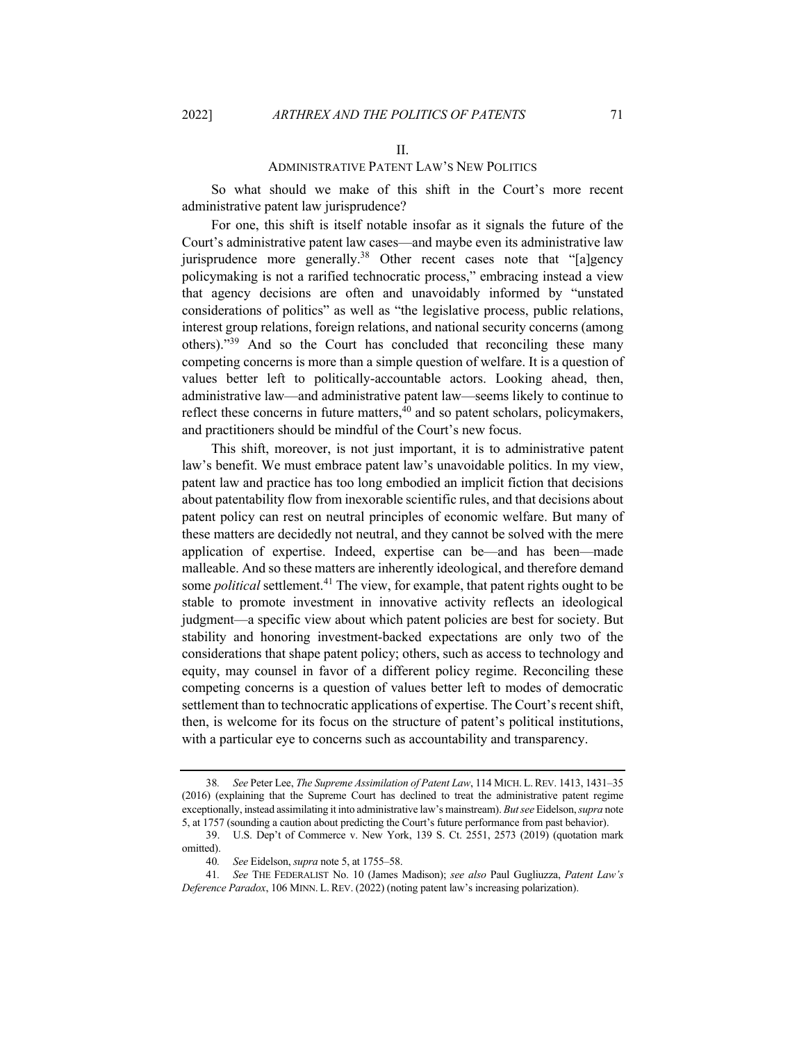#### II.

# ADMINISTRATIVE PATENT LAW'S NEW POLITICS

So what should we make of this shift in the Court's more recent administrative patent law jurisprudence?

For one, this shift is itself notable insofar as it signals the future of the Court's administrative patent law cases—and maybe even its administrative law jurisprudence more generally.<sup>38</sup> Other recent cases note that "[a]gency policymaking is not a rarified technocratic process," embracing instead a view that agency decisions are often and unavoidably informed by "unstated considerations of politics" as well as "the legislative process, public relations, interest group relations, foreign relations, and national security concerns (among others)."<sup>39</sup> And so the Court has concluded that reconciling these many competing concerns is more than a simple question of welfare. It is a question of values better left to politically-accountable actors. Looking ahead, then, administrative law—and administrative patent law—seems likely to continue to reflect these concerns in future matters, $40$  and so patent scholars, policymakers, and practitioners should be mindful of the Court's new focus.

This shift, moreover, is not just important, it is to administrative patent law's benefit. We must embrace patent law's unavoidable politics. In my view, patent law and practice has too long embodied an implicit fiction that decisions about patentability flow from inexorable scientific rules, and that decisions about patent policy can rest on neutral principles of economic welfare. But many of these matters are decidedly not neutral, and they cannot be solved with the mere application of expertise. Indeed, expertise can be—and has been—made malleable. And so these matters are inherently ideological, and therefore demand some *political* settlement.<sup>41</sup> The view, for example, that patent rights ought to be stable to promote investment in innovative activity reflects an ideological judgment—a specific view about which patent policies are best for society. But stability and honoring investment-backed expectations are only two of the considerations that shape patent policy; others, such as access to technology and equity, may counsel in favor of a different policy regime. Reconciling these competing concerns is a question of values better left to modes of democratic settlement than to technocratic applications of expertise. The Court's recent shift, then, is welcome for its focus on the structure of patent's political institutions, with a particular eye to concerns such as accountability and transparency.

<sup>38</sup>*. See* Peter Lee, *The Supreme Assimilation of Patent Law*, 114 MICH. L.REV. 1413, 1431–35 (2016) (explaining that the Supreme Court has declined to treat the administrative patent regime exceptionally, instead assimilating it into administrative law's mainstream). *But see* Eidelson, *supra* note 5, at 1757 (sounding a caution about predicting the Court's future performance from past behavior).

<sup>39.</sup> U.S. Dep't of Commerce v. New York, 139 S. Ct. 2551, 2573 (2019) (quotation mark omitted).

<sup>40</sup>*. See* Eidelson, *supra* note 5, at 1755–58.

<sup>41</sup>*. See* THE FEDERALIST No. 10 (James Madison); *see also* Paul Gugliuzza, *Patent Law's Deference Paradox*, 106 MINN. L. REV. (2022) (noting patent law's increasing polarization).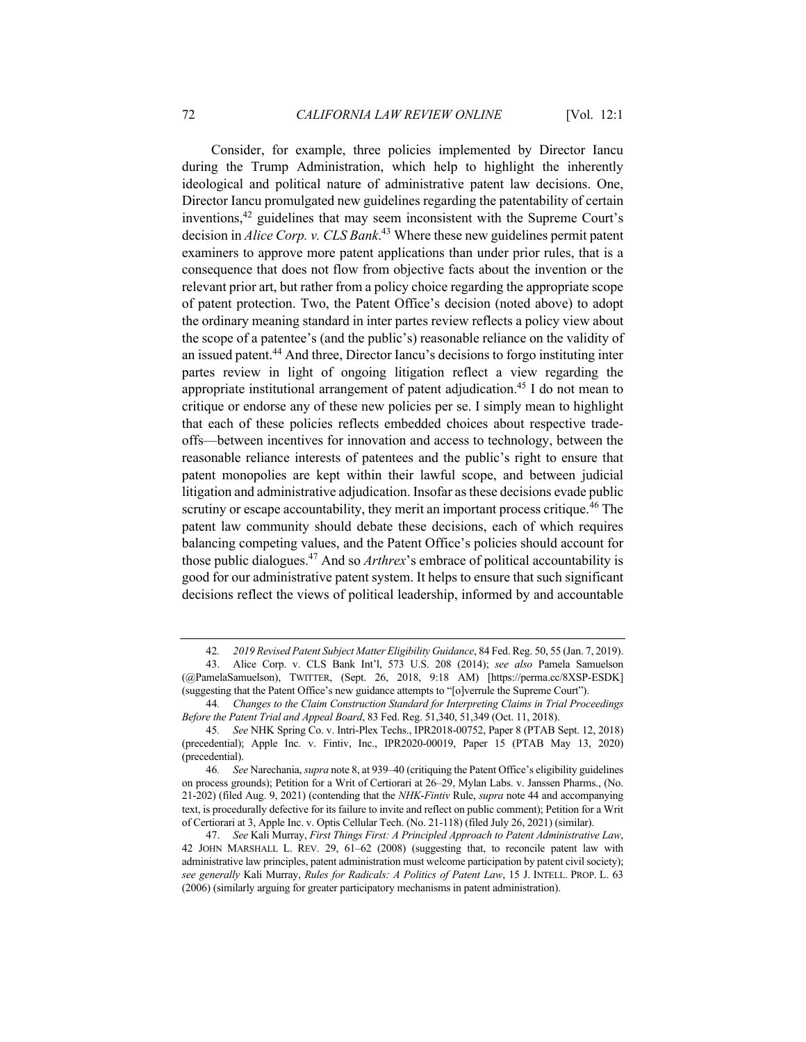Consider, for example, three policies implemented by Director Iancu during the Trump Administration, which help to highlight the inherently ideological and political nature of administrative patent law decisions. One, Director Iancu promulgated new guidelines regarding the patentability of certain inventions,42 guidelines that may seem inconsistent with the Supreme Court's decision in *Alice Corp. v. CLS Bank*. <sup>43</sup> Where these new guidelines permit patent examiners to approve more patent applications than under prior rules, that is a consequence that does not flow from objective facts about the invention or the relevant prior art, but rather from a policy choice regarding the appropriate scope of patent protection. Two, the Patent Office's decision (noted above) to adopt the ordinary meaning standard in inter partes review reflects a policy view about the scope of a patentee's (and the public's) reasonable reliance on the validity of an issued patent.44 And three, Director Iancu's decisions to forgo instituting inter partes review in light of ongoing litigation reflect a view regarding the appropriate institutional arrangement of patent adjudication.45 I do not mean to critique or endorse any of these new policies per se. I simply mean to highlight that each of these policies reflects embedded choices about respective tradeoffs—between incentives for innovation and access to technology, between the reasonable reliance interests of patentees and the public's right to ensure that patent monopolies are kept within their lawful scope, and between judicial litigation and administrative adjudication. Insofar as these decisions evade public scrutiny or escape accountability, they merit an important process critique.<sup>46</sup> The patent law community should debate these decisions, each of which requires balancing competing values, and the Patent Office's policies should account for those public dialogues.47 And so *Arthrex*'s embrace of political accountability is good for our administrative patent system. It helps to ensure that such significant decisions reflect the views of political leadership, informed by and accountable

<sup>42</sup>*. 2019 Revised Patent Subject Matter Eligibility Guidance*, 84 Fed. Reg. 50, 55 (Jan. 7, 2019).

<sup>43.</sup> Alice Corp. v. CLS Bank Int'l, 573 U.S. 208 (2014); *see also* Pamela Samuelson (@PamelaSamuelson), TWITTER, (Sept. 26, 2018, 9:18 AM) [https://perma.cc/8XSP-ESDK] (suggesting that the Patent Office's new guidance attempts to "[o]verrule the Supreme Court").

<sup>44</sup>*. Changes to the Claim Construction Standard for Interpreting Claims in Trial Proceedings Before the Patent Trial and Appeal Board*, 83 Fed. Reg. 51,340, 51,349 (Oct. 11, 2018).

<sup>45</sup>*. See* NHK Spring Co. v. Intri-Plex Techs., IPR2018-00752, Paper 8 (PTAB Sept. 12, 2018) (precedential); Apple Inc. v. Fintiv, Inc., IPR2020-00019, Paper 15 (PTAB May 13, 2020) (precedential).

<sup>46</sup>*. See* Narechania, *supra* note 8, at 939–40 (critiquing the Patent Office's eligibility guidelines on process grounds); Petition for a Writ of Certiorari at 26–29, Mylan Labs. v. Janssen Pharms., (No. 21-202) (filed Aug. 9, 2021) (contending that the *NHK*-*Fintiv* Rule, *supra* note 44 and accompanying text, is procedurally defective for its failure to invite and reflect on public comment); Petition for a Writ of Certiorari at 3, Apple Inc. v. Optis Cellular Tech. (No. 21-118) (filed July 26, 2021) (similar).

<sup>47.</sup> *See* Kali Murray, *First Things First: A Principled Approach to Patent Administrative Law*, 42 JOHN MARSHALL L. REV. 29, 61–62 (2008) (suggesting that, to reconcile patent law with administrative law principles, patent administration must welcome participation by patent civil society); *see generally* Kali Murray, *Rules for Radicals: A Politics of Patent Law*, 15 J. INTELL. PROP. L. 63 (2006) (similarly arguing for greater participatory mechanisms in patent administration).